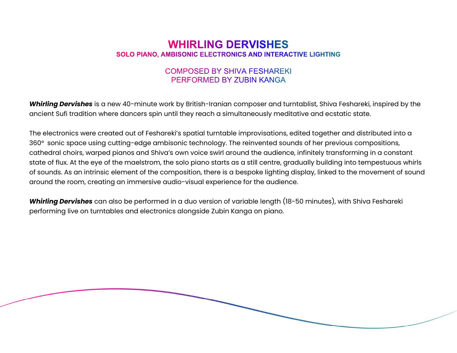## **WHIRLING DERVISHES SOLO PIANO. AMBISONIC ELECTRONICS AND INTERACTIVE LIGHTING**

## **COMPOSED BY SHIVA FESHAREKI** PERFORMED BY ZUBIN KANGA

Whirling Dervishes is a new 40-minute work by British-Iranian composer and turntablist, Shiva Feshareki, inspired by the ancient Sufi tradition where dancers spin until they reach a simultaneously meditative and ecstatic state.

The electronics were created out of Feshareki's spatial turntable improvisations, edited together and distributed into a 360° sonic space using cutting-edge ambisonic technology. The reinvented sounds of her previous compositions, cathedral choirs, warped pianos and Shiva's own voice swirl around the audience, infinitely transforming in a constant state of flux. At the eye of the maelstrom, the solo piano starts as a still centre, gradually building into tempestuous whirls of sounds. As an intrinsic element of the composition, there is a bespoke lighting display, linked to the movement of sound around the room, creating an immersive audio-visual experience for the audience.

Whirling Dervishes can also be performed in a duo version of variable length (18-50 minutes), with Shiva Feshareki performing live on turntables and electronics alongside Zubin Kanga on piano.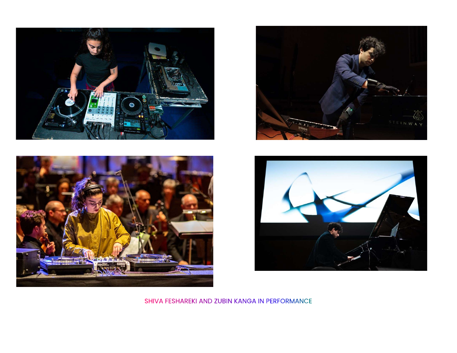







SHIVA FESHAREKI AND ZUBIN KANGA IN PERFORMANCE